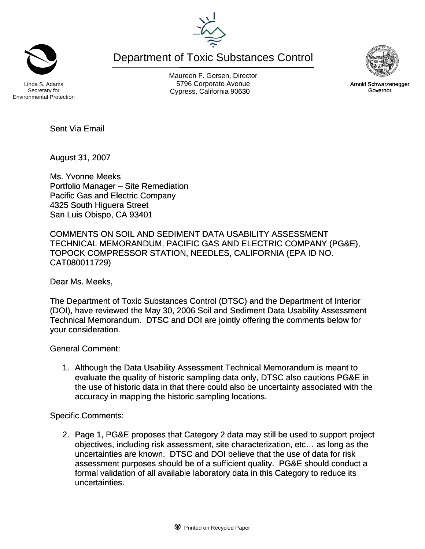Department of Toxic Substances Control

Environmental Protection

Maureen F. Gorsen, Director Linda S. Adams **Example 20** Corporate Avenue Christian Avenue 5796 Corporate Avenue Cypress, California 90630 **Canadian Cypress**, California 90630

Secretary for

Sent Via Email

August 31, 2007

Ms. Yvonne Meeks Portfolio Manager – Site Remediation Pacific Gas and Electric Company 4325 South Higuera Street San Luis Obispo, CA 93401

COMMENTS ON SOIL AND SEDIMENT DATA USABILITY ASSESSMENT TECHNICAL MEMORANDUM, PACIFIC GAS AND ELECTRIC COMPANY (PG&E), TOPOCK COMPRESSOR STATION, NEEDLES, CALIFORNIA (EPA ID NO. CAT080011729)

Dear Ms. Meeks,

The Department of Toxic Substances Control (DTSC) and the Department of Interior (DOI), have reviewed the May 30, 2006 Soil and Sediment Data Usability Assessment Technical Memorandum. DTSC and DOI are jointly offering the comments below for your consideration.

General Comment:

1. Although the Data Usability Assessment Technical Memorandum is meant to evaluate the quality of historic sampling data only, DTSC also cautions PG&E in the use of historic data in that there could also be uncertainty associated with the accuracy in mapping the historic sampling locations.

Specific Comments:

2. Page 1, PG&E proposes that Category 2 data may still be used to support project objectives, including risk assessment, site characterization, etc… as long as the uncertainties are known. DTSC and DOI believe that the use of data for risk assessment purposes should be of a sufficient quality. PG&E should conduct a formal validation of all available laboratory data in this Category to reduce its uncertainties.



Arnold Schwarzenegger Governor

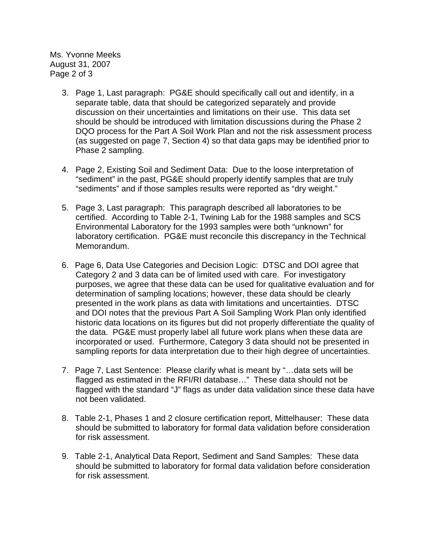Ms. Yvonne Meeks August 31, 2007 Page 2 of 3

- 3. Page 1, Last paragraph: PG&E should specifically call out and identify, in a separate table, data that should be categorized separately and provide discussion on their uncertainties and limitations on their use. This data set should be should be introduced with limitation discussions during the Phase 2 DQO process for the Part A Soil Work Plan and not the risk assessment process (as suggested on page 7, Section 4) so that data gaps may be identified prior to Phase 2 sampling.
- 4. Page 2, Existing Soil and Sediment Data: Due to the loose interpretation of "sediment" in the past, PG&E should properly identify samples that are truly "sediments" and if those samples results were reported as "dry weight."
- 5. Page 3, Last paragraph: This paragraph described all laboratories to be certified. According to Table 2-1, Twining Lab for the 1988 samples and SCS Environmental Laboratory for the 1993 samples were both "unknown" for laboratory certification. PG&E must reconcile this discrepancy in the Technical Memorandum.
- 6. Page 6, Data Use Categories and Decision Logic: DTSC and DOI agree that Category 2 and 3 data can be of limited used with care. For investigatory purposes, we agree that these data can be used for qualitative evaluation and for determination of sampling locations; however, these data should be clearly presented in the work plans as data with limitations and uncertainties. DTSC and DOI notes that the previous Part A Soil Sampling Work Plan only identified historic data locations on its figures but did not properly differentiate the quality of the data. PG&E must properly label all future work plans when these data are incorporated or used. Furthermore, Category 3 data should not be presented in sampling reports for data interpretation due to their high degree of uncertainties.
- 7. Page 7, Last Sentence: Please clarify what is meant by "…data sets will be flagged as estimated in the RFI/RI database…" These data should not be flagged with the standard "J" flags as under data validation since these data have not been validated.
- 8. Table 2-1, Phases 1 and 2 closure certification report, Mittelhauser: These data should be submitted to laboratory for formal data validation before consideration for risk assessment.
- 9. Table 2-1, Analytical Data Report, Sediment and Sand Samples: These data should be submitted to laboratory for formal data validation before consideration for risk assessment.